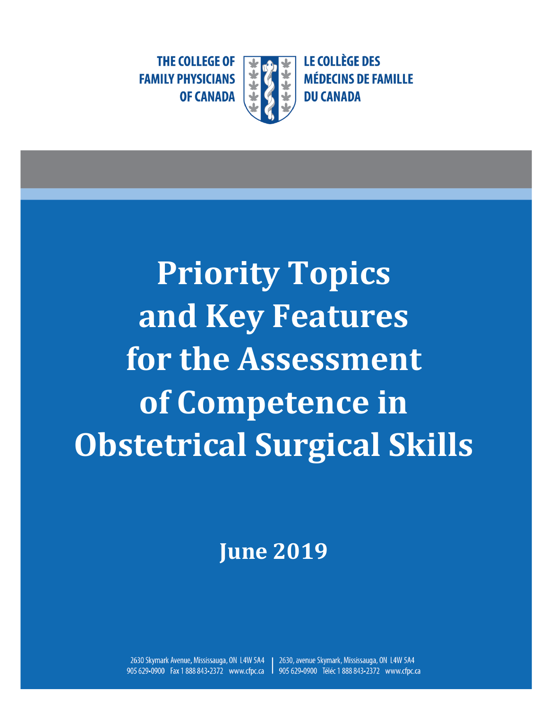**LE COLLÈGE DES MÉDECINS DE FAMILLE DU CANADA** 

**THE COLLEGE OF FAMILY PHYSICIANS OF CANADA** 

**Priority Topics and Key Features for the Assessment of Competence in Obstetrical Surgical Skills**

**June 2019**

2630, avenue Skymark, Mississauga, ON L4W 5A4 2630 Skymark Avenue, Mississauga, ON L4W 5A4 905 629-0900 Fax 1 888 843-2372 www.cfpc.ca 905 629-0900 Téléc 1 888 843-2372 www.cfpc.ca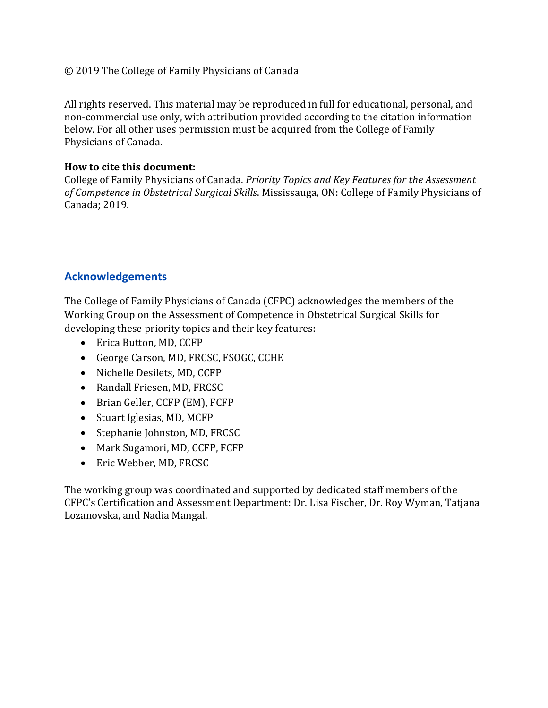#### © 2019 The College of Family Physicians of Canada

All rights reserved. This material may be reproduced in full for educational, personal, and non-commercial use only, with attribution provided according to the citation information below. For all other uses permission must be acquired from the College of Family Physicians of Canada.

#### **How to cite this document:**

College of Family Physicians of Canada. *Priority Topics and Key Features for the Assessment of Competence in Obstetrical Surgical Skills*. Mississauga, ON: College of Family Physicians of Canada; 2019.

#### **Acknowledgements**

The College of Family Physicians of Canada (CFPC) acknowledges the members of the Working Group on the Assessment of Competence in Obstetrical Surgical Skills for developing these priority topics and their key features:

- Erica Button, MD, CCFP
- George Carson, MD, FRCSC, FSOGC, CCHE
- Nichelle Desilets, MD, CCFP
- Randall Friesen, MD, FRCSC
- Brian Geller, CCFP (EM), FCFP
- Stuart Iglesias, MD, MCFP
- Stephanie Johnston, MD, FRCSC
- Mark Sugamori, MD, CCFP, FCFP
- Eric Webber, MD, FRCSC

The working group was coordinated and supported by dedicated staff members of the CFPC's Certification and Assessment Department: Dr. Lisa Fischer, Dr. Roy Wyman, Tatjana Lozanovska, and Nadia Mangal.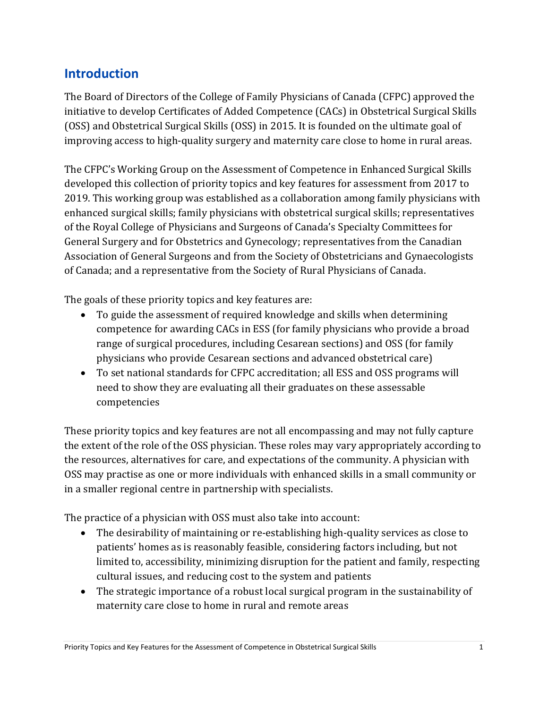# **Introduction**

The Board of Directors of the College of Family Physicians of Canada (CFPC) approved the initiative to develop Certificates of Added Competence (CACs) in Obstetrical Surgical Skills (OSS) and Obstetrical Surgical Skills (OSS) in 2015. It is founded on the ultimate goal of improving access to high-quality surgery and maternity care close to home in rural areas.

The CFPC's Working Group on the Assessment of Competence in Enhanced Surgical Skills developed this collection of priority topics and key features for assessment from 2017 to 2019. This working group was established as a collaboration among family physicians with enhanced surgical skills; family physicians with obstetrical surgical skills; representatives of the Royal College of Physicians and Surgeons of Canada's Specialty Committees for General Surgery and for Obstetrics and Gynecology; representatives from the Canadian Association of General Surgeons and from the Society of Obstetricians and Gynaecologists of Canada; and a representative from the Society of Rural Physicians of Canada.

The goals of these priority topics and key features are:

- To guide the assessment of required knowledge and skills when determining competence for awarding CACs in ESS (for family physicians who provide a broad range of surgical procedures, including Cesarean sections) and OSS (for family physicians who provide Cesarean sections and advanced obstetrical care)
- To set national standards for CFPC accreditation; all ESS and OSS programs will need to show they are evaluating all their graduates on these assessable competencies

These priority topics and key features are not all encompassing and may not fully capture the extent of the role of the OSS physician. These roles may vary appropriately according to the resources, alternatives for care, and expectations of the community. A physician with OSS may practise as one or more individuals with enhanced skills in a small community or in a smaller regional centre in partnership with specialists.

The practice of a physician with OSS must also take into account:

- The desirability of maintaining or re-establishing high-quality services as close to patients' homes as is reasonably feasible, considering factors including, but not limited to, accessibility, minimizing disruption for the patient and family, respecting cultural issues, and reducing cost to the system and patients
- The strategic importance of a robust local surgical program in the sustainability of maternity care close to home in rural and remote areas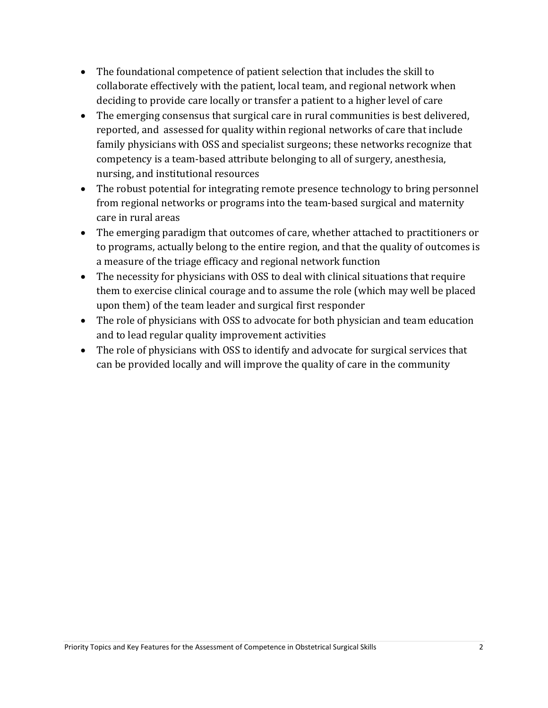- The foundational competence of patient selection that includes the skill to collaborate effectively with the patient, local team, and regional network when deciding to provide care locally or transfer a patient to a higher level of care
- The emerging consensus that surgical care in rural communities is best delivered, reported, and assessed for quality within regional networks of care that include family physicians with OSS and specialist surgeons; these networks recognize that competency is a team-based attribute belonging to all of surgery, anesthesia, nursing, and institutional resources
- The robust potential for integrating remote presence technology to bring personnel from regional networks or programs into the team-based surgical and maternity care in rural areas
- The emerging paradigm that outcomes of care, whether attached to practitioners or to programs, actually belong to the entire region, and that the quality of outcomes is a measure of the triage efficacy and regional network function
- The necessity for physicians with OSS to deal with clinical situations that require them to exercise clinical courage and to assume the role (which may well be placed upon them) of the team leader and surgical first responder
- The role of physicians with OSS to advocate for both physician and team education and to lead regular quality improvement activities
- The role of physicians with OSS to identify and advocate for surgical services that can be provided locally and will improve the quality of care in the community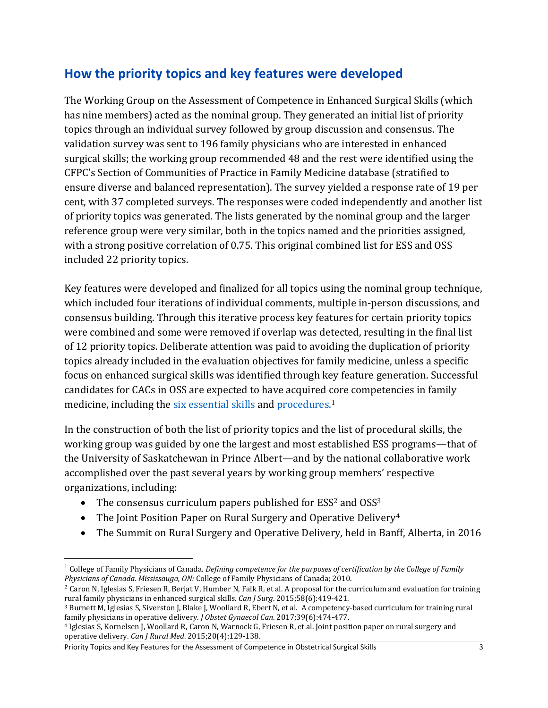# **How the priority topics and key features were developed**

The Working Group on the Assessment of Competence in Enhanced Surgical Skills (which has nine members) acted as the nominal group. They generated an initial list of priority topics through an individual survey followed by group discussion and consensus. The validation survey was sent to 196 family physicians who are interested in enhanced surgical skills; the working group recommended 48 and the rest were identified using the CFPC's Section of Communities of Practice in Family Medicine database (stratified to ensure diverse and balanced representation). The survey yielded a response rate of 19 per cent, with 37 completed surveys. The responses were coded independently and another list of priority topics was generated. The lists generated by the nominal group and the larger reference group were very similar, both in the topics named and the priorities assigned, with a strong positive correlation of 0.75. This original combined list for ESS and OSS included 22 priority topics.

Key features were developed and finalized for all topics using the nominal group technique, which included four iterations of individual comments, multiple in-person discussions, and consensus building. Through this iterative process key features for certain priority topics were combined and some were removed if overlap was detected, resulting in the final list of 12 priority topics. Deliberate attention was paid to avoiding the duplication of priority topics already included in the evaluation objectives for family medicine, unless a specific focus on enhanced surgical skills was identified through key feature generation. Successful candidates for CACs in OSS are expected to have acquired core competencies in family medicine, including the six [essential](https://www.cfpc.ca/uploadedFiles/Education/Part%20II%20Evaluation%20objectives.pdf) skills and [procedures.](https://www.cfpc.ca/uploadedFiles/Education/Certification_in_Family_Medicine_Examination/Definition%20of%20Competence%20Complete%20Document%20with%20skills%20and%20phases.pdf#page=62)<sup>1</sup>

In the construction of both the list of priority topics and the list of procedural skills, the working group was guided by one the largest and most established ESS programs—that of the University of Saskatchewan in Prince Albert—and by the national collaborative work accomplished over the past several years by working group members' respective organizations, including:

- The consensus curriculum papers published for  $ESS^2$  and  $OSS^3$
- The Joint Position Paper on Rural Surgery and Operative Delivery<sup>4</sup>
- The Summit on Rural Surgery and Operative Delivery, held in Banff, Alberta, in 2016

Priority Topics and Key Features for the Assessment of Competence in Obstetrical Surgical Skills 3

<sup>1</sup> College of Family Physicians of Canada. *Defining competence for the purposes of certification by the College of Family Physicians of Canada. Mississauga, ON:* College of Family Physicians of Canada; 2010.

<sup>&</sup>lt;sup>2</sup> Caron N, Iglesias S, Friesen R, Berjat V, Humber N, Falk R, et al. A proposal for the curriculum and evaluation for training rural family physicians in enhanced surgical skills. *Can J Surg*. 2015;58(6):419-421.

<sup>3</sup> Burnett M, Iglesias S, Siverston J, Blake J, Woollard R, Ebert N, et al. A competency-based curriculum for training rural family physicians in operative delivery. *J Obstet Gynaecol Can*. 2017;39(6):474-477.

<sup>4</sup> Iglesias S, Kornelsen J, Woollard R, Caron N, Warnock G, Friesen R, et al. Joint position paper on rural surgery and operative delivery. *Can J Rural Med*. 2015;20(4):129-138.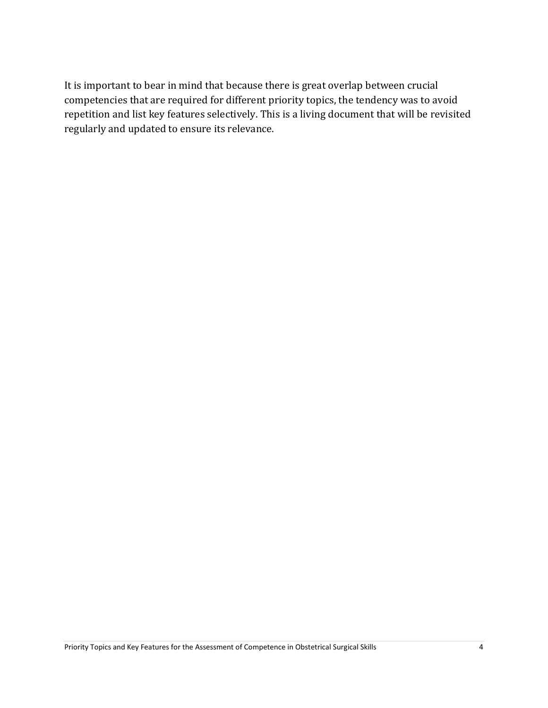It is important to bear in mind that because there is great overlap between crucial competencies that are required for different priority topics, the tendency was to avoid repetition and list key features selectively. This is a living document that will be revisited regularly and updated to ensure its relevance.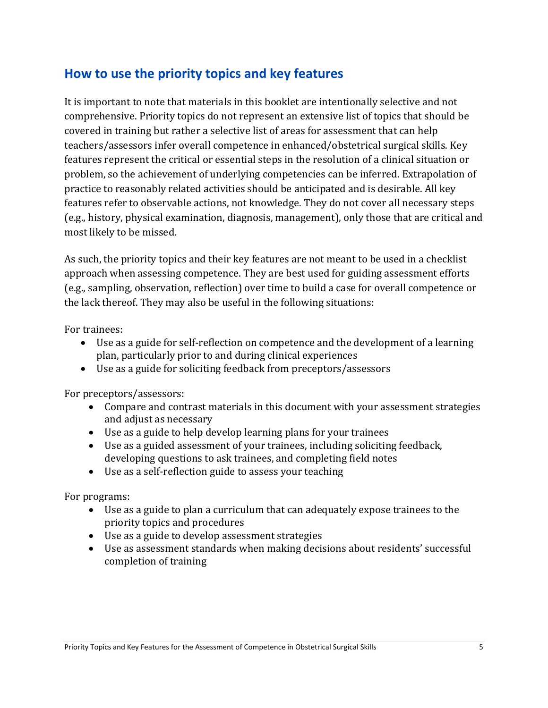# **How to use the priority topics and key features**

It is important to note that materials in this booklet are intentionally selective and not comprehensive. Priority topics do not represent an extensive list of topics that should be covered in training but rather a selective list of areas for assessment that can help teachers/assessors infer overall competence in enhanced/obstetrical surgical skills. Key features represent the critical or essential steps in the resolution of a clinical situation or problem, so the achievement of underlying competencies can be inferred. Extrapolation of practice to reasonably related activities should be anticipated and is desirable. All key features refer to observable actions, not knowledge. They do not cover all necessary steps (e.g., history, physical examination, diagnosis, management), only those that are critical and most likely to be missed.

As such, the priority topics and their key features are not meant to be used in a checklist approach when assessing competence. They are best used for guiding assessment efforts (e.g., sampling, observation, reflection) over time to build a case for overall competence or the lack thereof. They may also be useful in the following situations:

For trainees:

- Use as a guide for self-reflection on competence and the development of a learning plan, particularly prior to and during clinical experiences
- Use as a guide for soliciting feedback from preceptors/assessors

For preceptors/assessors:

- Compare and contrast materials in this document with your assessment strategies and adjust as necessary
- Use as a guide to help develop learning plans for your trainees
- Use as a guided assessment of your trainees, including soliciting feedback, developing questions to ask trainees, and completing field notes
- Use as a self-reflection guide to assess your teaching

For programs:

- Use as a guide to plan a curriculum that can adequately expose trainees to the priority topics and procedures
- Use as a guide to develop assessment strategies
- Use as assessment standards when making decisions about residents' successful completion of training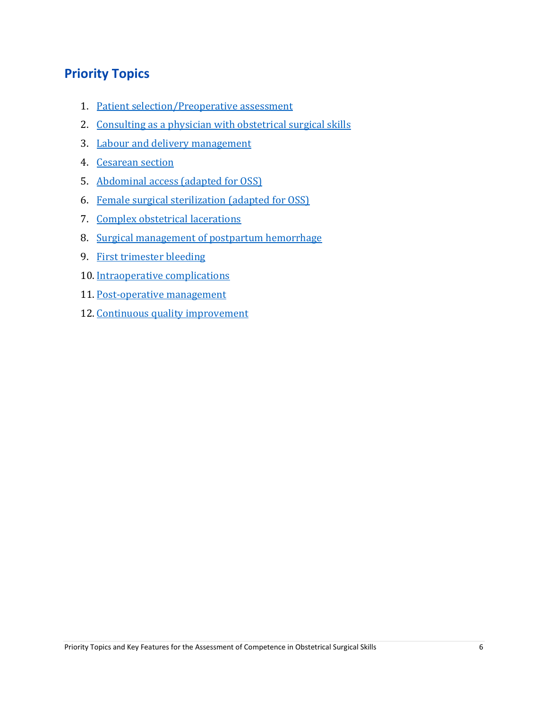# **Priority Topics**

- 1. Patient [selection/Preoperative](#page-8-0) assessment
- 2. [Consulting](#page-9-0) as a physician with obstetrical surgical skills
- 3. Labour and delivery [management](#page-10-0)
- 4. [Cesarean](#page-12-0) section
- 5. [Abdominal](#page-14-0) access (adapted for OSS)
- 6. Female surgical [sterilization](#page-15-0) (adapted for OSS)
- 7. Complex obstetrical [lacerations](#page-16-0)
- 8. Surgical [management](#page-17-0) of postpartum hemorrhage
- 9. First [trimester](#page-18-0) bleeding
- 10. [Intraoperative](#page-19-0) complications
- 11. [Post-operative](#page-20-0) management
- 12. Continuous quality [improvement](#page-21-0)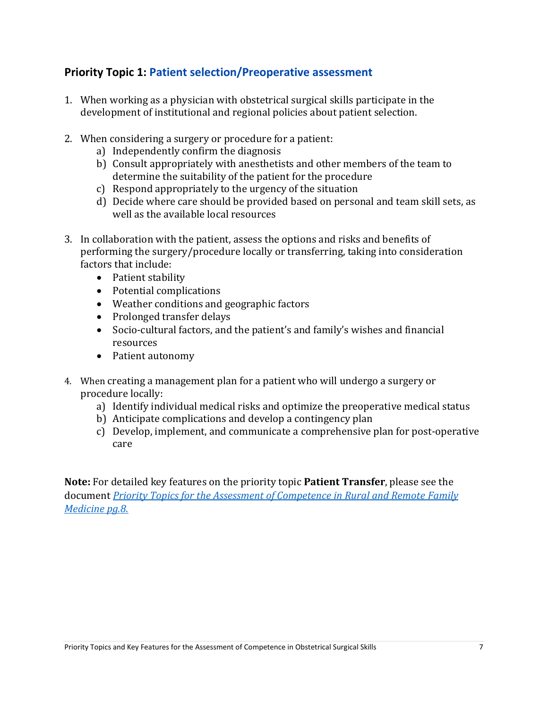### <span id="page-8-0"></span>**Priority Topic 1: Patient selection/Preoperative assessment**

- 1. When working as a physician with obstetrical surgical skills participate in the development of institutional and regional policies about patient selection.
- 2. When considering a surgery or procedure for a patient:
	- a) Independently confirm the diagnosis
	- b) Consult appropriately with anesthetists and other members of the team to determine the suitability of the patient for the procedure
	- c) Respond appropriately to the urgency of the situation
	- d) Decide where care should be provided based on personal and team skill sets, as well as the available local resources
- 3. In collaboration with the patient, assess the options and risks and benefits of performing the surgery/procedure locally or transferring, taking into consideration factors that include:
	- Patient stability
	- Potential complications
	- Weather conditions and geographic factors
	- Prolonged transfer delays
	- Socio-cultural factors, and the patient's and family's wishes and financial resources
	- Patient autonomy
- 4. When creating a management plan for a patient who will undergo a surgery or procedure locally:
	- a) Identify individual medical risks and optimize the preoperative medical status
	- b) Anticipate complications and develop a contingency plan
	- c) Develop, implement, and communicate a comprehensive plan for post-operative care

**Note:** For detailed key features on the priority topic **Patient Transfer**, please see the document *[Priority Topics for the Assessment of Competence in Rural and Remote Family](https://www.cfpc.ca/uploadedfiles/Education/Rural-PT_KF_EN.pdf)  [Medicine](https://www.cfpc.ca/uploadedfiles/Education/Rural-PT_KF_EN.pdf) pg.8*.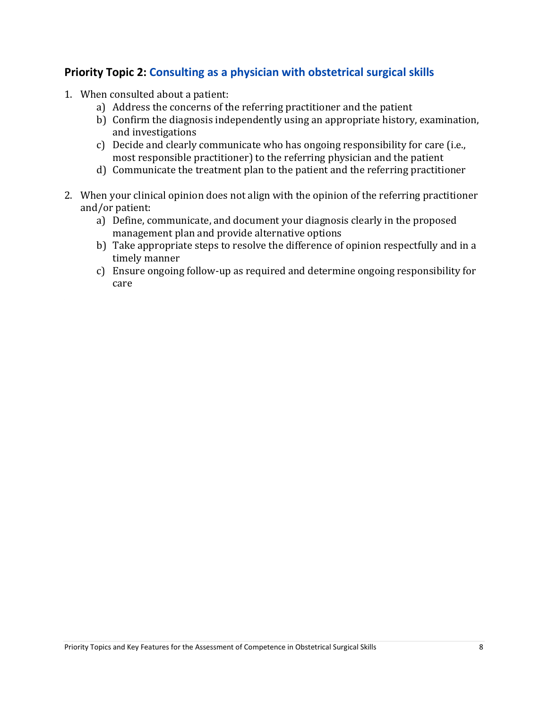### <span id="page-9-0"></span>**Priority Topic 2: Consulting as a physician with obstetrical surgical skills**

- 1. When consulted about a patient:
	- a) Address the concerns of the referring practitioner and the patient
	- b) Confirm the diagnosis independently using an appropriate history, examination, and investigations
	- c) Decide and clearly communicate who has ongoing responsibility for care (i.e., most responsible practitioner) to the referring physician and the patient
	- d) Communicate the treatment plan to the patient and the referring practitioner
- 2. When your clinical opinion does not align with the opinion of the referring practitioner and/or patient:
	- a) Define, communicate, and document your diagnosis clearly in the proposed management plan and provide alternative options
	- b) Take appropriate steps to resolve the difference of opinion respectfully and in a timely manner
	- c) Ensure ongoing follow-up as required and determine ongoing responsibility for care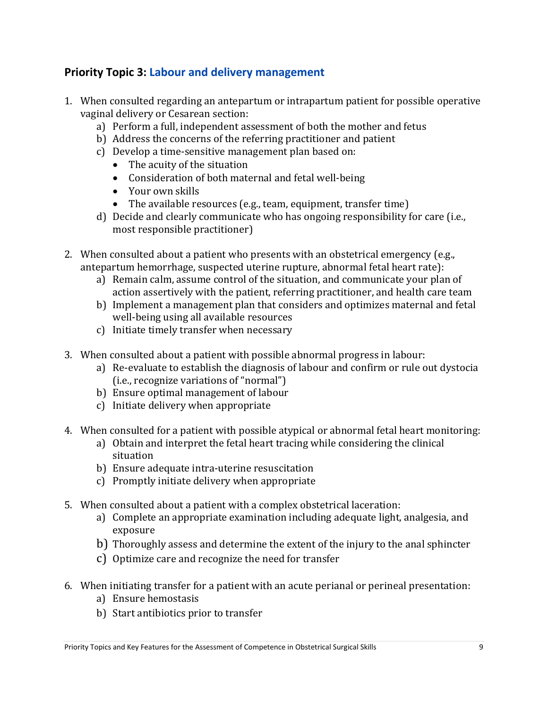### <span id="page-10-0"></span>**Priority Topic 3: Labour and delivery management**

- 1. When consulted regarding an antepartum or intrapartum patient for possible operative vaginal delivery or Cesarean section:
	- a) Perform a full, independent assessment of both the mother and fetus
	- b) Address the concerns of the referring practitioner and patient
	- c) Develop a time-sensitive management plan based on:
		- The acuity of the situation
		- Consideration of both maternal and fetal well-being
		- Your own skills
		- The available resources (e.g., team, equipment, transfer time)
	- d) Decide and clearly communicate who has ongoing responsibility for care (i.e., most responsible practitioner)
- 2. When consulted about a patient who presents with an obstetrical emergency (e.g., antepartum hemorrhage, suspected uterine rupture, abnormal fetal heart rate):
	- a) Remain calm, assume control of the situation, and communicate your plan of action assertively with the patient, referring practitioner, and health care team
	- b) Implement a management plan that considers and optimizes maternal and fetal well-being using all available resources
	- c) Initiate timely transfer when necessary
- 3. When consulted about a patient with possible abnormal progress in labour:
	- a) Re-evaluate to establish the diagnosis of labour and confirm or rule out dystocia (i.e., recognize variations of "normal")
	- b) Ensure optimal management of labour
	- c) Initiate delivery when appropriate
- 4. When consulted for a patient with possible atypical or abnormal fetal heart monitoring:
	- a) Obtain and interpret the fetal heart tracing while considering the clinical situation
	- b) Ensure adequate intra-uterine resuscitation
	- c) Promptly initiate delivery when appropriate
- 5. When consulted about a patient with a complex obstetrical laceration:
	- a) Complete an appropriate examination including adequate light, analgesia, and exposure
	- b) Thoroughly assess and determine the extent of the injury to the anal sphincter
	- c) Optimize care and recognize the need for transfer
- 6. When initiating transfer for a patient with an acute perianal or perineal presentation:
	- a) Ensure hemostasis
	- b) Start antibiotics prior to transfer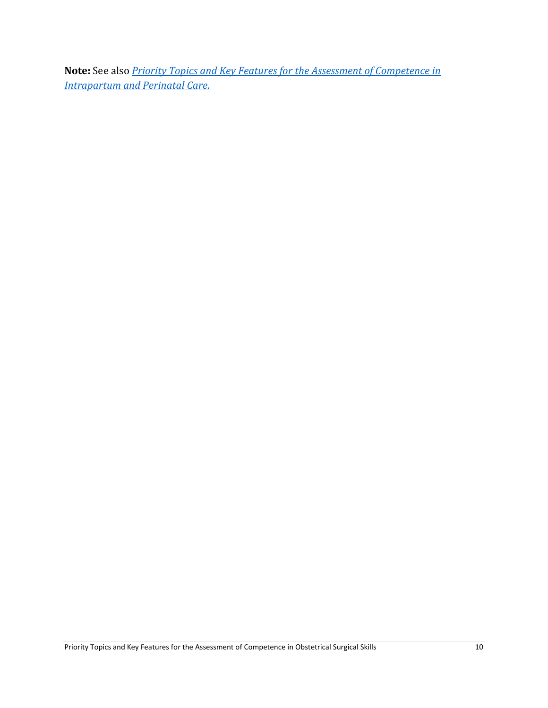**Note:** See also *[Priority Topics and Key Features for the Assessment of Competence in](https://www.cfpc.ca/uploadedFiles/Education/MNC-booklet-Phases-Dimensions-Final.pdf)  [Intrapartum and Perinatal Care](https://www.cfpc.ca/uploadedFiles/Education/MNC-booklet-Phases-Dimensions-Final.pdf)*.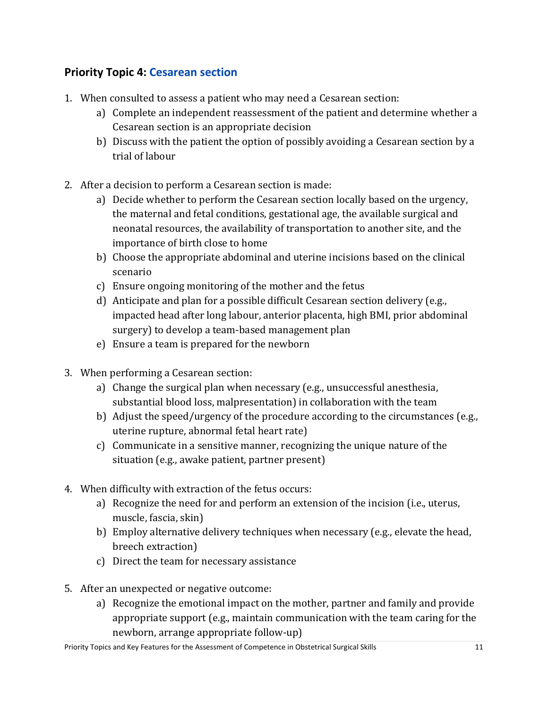## <span id="page-12-0"></span>**Priority Topic 4: Cesarean section**

- 1. When consulted to assess a patient who may need a Cesarean section:
	- a) Complete an independent reassessment of the patient and determine whether a Cesarean section is an appropriate decision
	- b) Discuss with the patient the option of possibly avoiding a Cesarean section by a trial of labour
- 2. After a decision to perform a Cesarean section is made:
	- a) Decide whether to perform the Cesarean section locally based on the urgency, the maternal and fetal conditions, gestational age, the available surgical and neonatal resources, the availability of transportation to another site, and the importance of birth close to home
	- b) Choose the appropriate abdominal and uterine incisions based on the clinical scenario
	- c) Ensure ongoing monitoring of the mother and the fetus
	- d) Anticipate and plan for a possible difficult Cesarean section delivery (e.g., impacted head after long labour, anterior placenta, high BMI, prior abdominal surgery) to develop a team-based management plan
	- e) Ensure a team is prepared for the newborn
- 3. When performing a Cesarean section:
	- a) Change the surgical plan when necessary (e.g., unsuccessful anesthesia, substantial blood loss, malpresentation) in collaboration with the team
	- b) Adjust the speed/urgency of the procedure according to the circumstances (e.g., uterine rupture, abnormal fetal heart rate)
	- c) Communicate in a sensitive manner, recognizing the unique nature of the situation (e.g., awake patient, partner present)
- 4. When difficulty with extraction of the fetus occurs:
	- a) Recognize the need for and perform an extension of the incision (i.e., uterus, muscle, fascia, skin)
	- b) Employ alternative delivery techniques when necessary (e.g., elevate the head, breech extraction)
	- c) Direct the team for necessary assistance
- 5. After an unexpected or negative outcome:
	- a) Recognize the emotional impact on the mother, partner and family and provide appropriate support (e.g., maintain communication with the team caring for the newborn, arrange appropriate follow-up)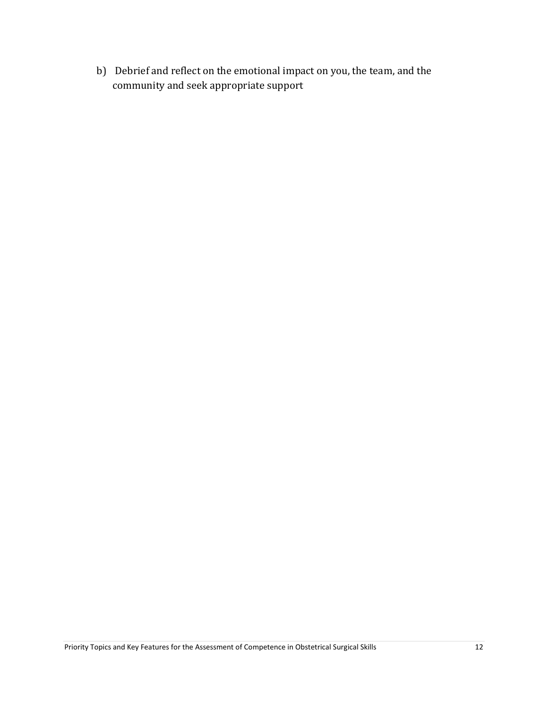b) Debrief and reflect on the emotional impact on you, the team, and the community and seek appropriate support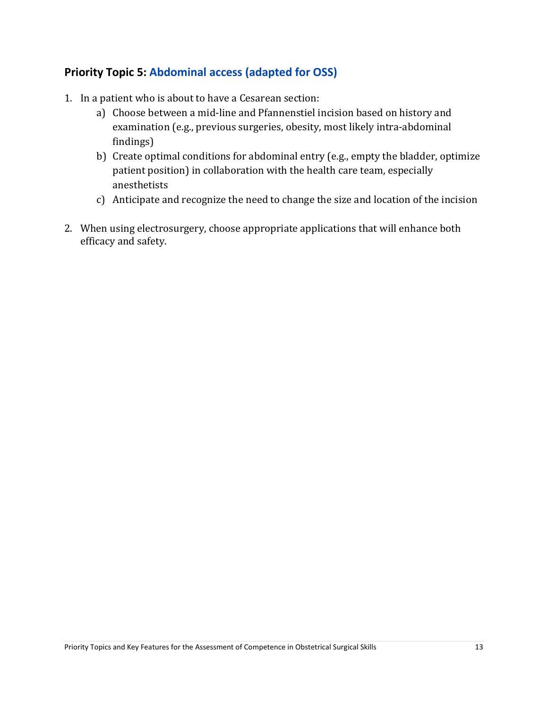### <span id="page-14-0"></span>**Priority Topic 5: Abdominal access (adapted for OSS)**

- 1. In a patient who is about to have a Cesarean section:
	- a) Choose between a mid-line and Pfannenstiel incision based on history and examination (e.g., previous surgeries, obesity, most likely intra-abdominal findings)
	- b) Create optimal conditions for abdominal entry (e.g., empty the bladder, optimize patient position) in collaboration with the health care team, especially anesthetists
	- c) Anticipate and recognize the need to change the size and location of the incision
- 2. When using electrosurgery, choose appropriate applications that will enhance both efficacy and safety.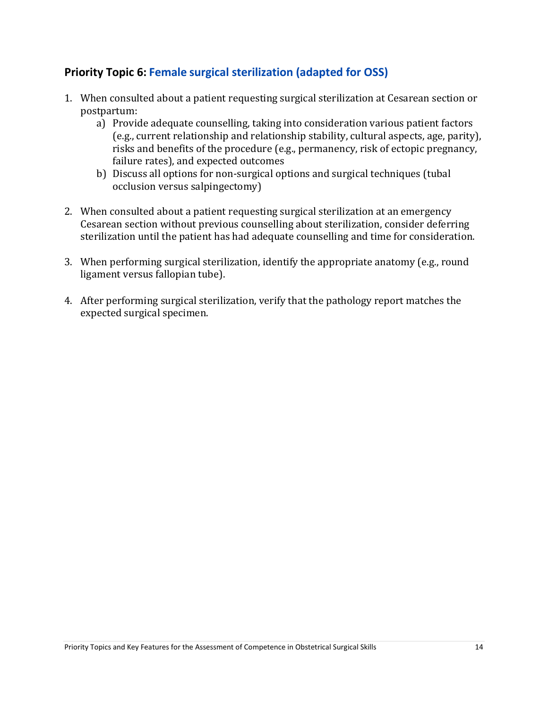### <span id="page-15-0"></span>**Priority Topic 6: Female surgical sterilization (adapted for OSS)**

- 1. When consulted about a patient requesting surgical sterilization at Cesarean section or postpartum:
	- a) Provide adequate counselling, taking into consideration various patient factors (e.g., current relationship and relationship stability, cultural aspects, age, parity), risks and benefits of the procedure (e.g., permanency, risk of ectopic pregnancy, failure rates), and expected outcomes
	- b) Discuss all options for non-surgical options and surgical techniques (tubal occlusion versus salpingectomy)
- 2. When consulted about a patient requesting surgical sterilization at an emergency Cesarean section without previous counselling about sterilization, consider deferring sterilization until the patient has had adequate counselling and time for consideration.
- 3. When performing surgical sterilization, identify the appropriate anatomy (e.g., round ligament versus fallopian tube).
- 4. After performing surgical sterilization, verify that the pathology report matches the expected surgical specimen.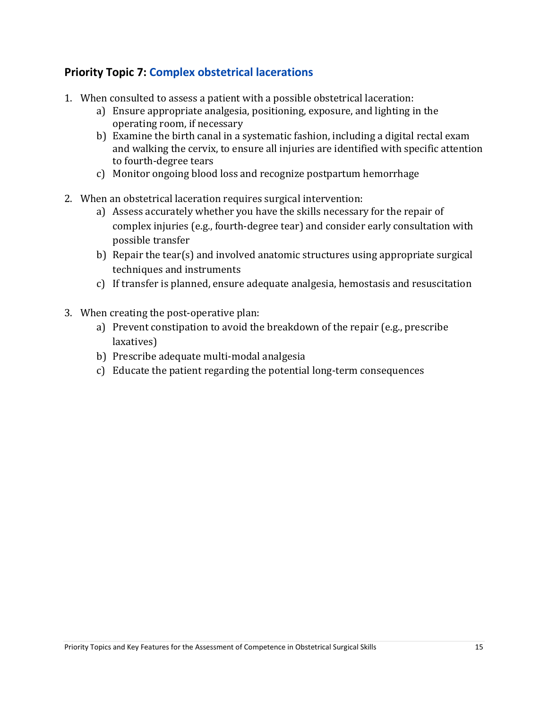### <span id="page-16-0"></span>**Priority Topic 7: Complex obstetrical lacerations**

- 1. When consulted to assess a patient with a possible obstetrical laceration:
	- a) Ensure appropriate analgesia, positioning, exposure, and lighting in the operating room, if necessary
	- b) Examine the birth canal in a systematic fashion, including a digital rectal exam and walking the cervix, to ensure all injuries are identified with specific attention to fourth-degree tears
	- c) Monitor ongoing blood loss and recognize postpartum hemorrhage
- 2. When an obstetrical laceration requires surgical intervention:
	- a) Assess accurately whether you have the skills necessary for the repair of complex injuries (e.g., fourth-degree tear) and consider early consultation with possible transfer
	- b) Repair the tear(s) and involved anatomic structures using appropriate surgical techniques and instruments
	- c) If transfer is planned, ensure adequate analgesia, hemostasis and resuscitation
- 3. When creating the post-operative plan:
	- a) Prevent constipation to avoid the breakdown of the repair (e.g., prescribe laxatives)
	- b) Prescribe adequate multi-modal analgesia
	- c) Educate the patient regarding the potential long-term consequences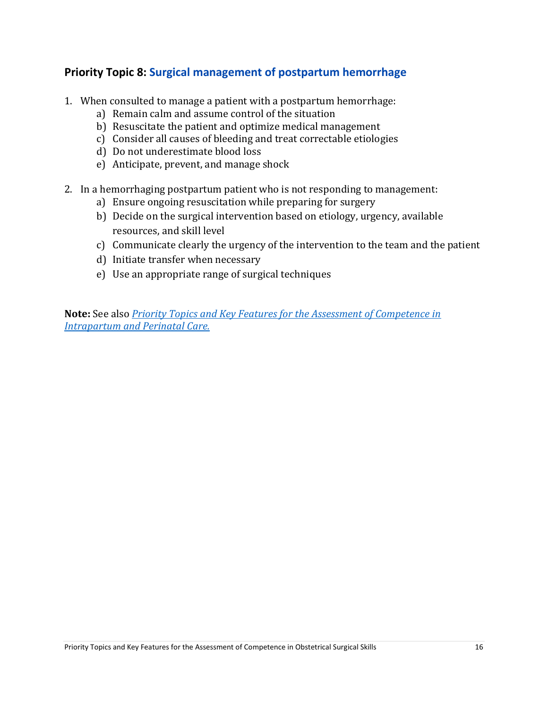### <span id="page-17-0"></span>**Priority Topic 8: Surgical management of postpartum hemorrhage**

- 1. When consulted to manage a patient with a postpartum hemorrhage:
	- a) Remain calm and assume control of the situation
	- b) Resuscitate the patient and optimize medical management
	- c) Consider all causes of bleeding and treat correctable etiologies
	- d) Do not underestimate blood loss
	- e) Anticipate, prevent, and manage shock
- 2. In a hemorrhaging postpartum patient who is not responding to management:
	- a) Ensure ongoing resuscitation while preparing for surgery
	- b) Decide on the surgical intervention based on etiology, urgency, available resources, and skill level
	- c) Communicate clearly the urgency of the intervention to the team and the patient
	- d) Initiate transfer when necessary
	- e) Use an appropriate range of surgical techniques

**Note:** See also *[Priority Topics and Key Features for the Assessment of Competence in](https://www.cfpc.ca/uploadedFiles/Education/MNC-booklet-Phases-Dimensions-Final.pdf)  [Intrapartum and Perinatal Care.](https://www.cfpc.ca/uploadedFiles/Education/MNC-booklet-Phases-Dimensions-Final.pdf)*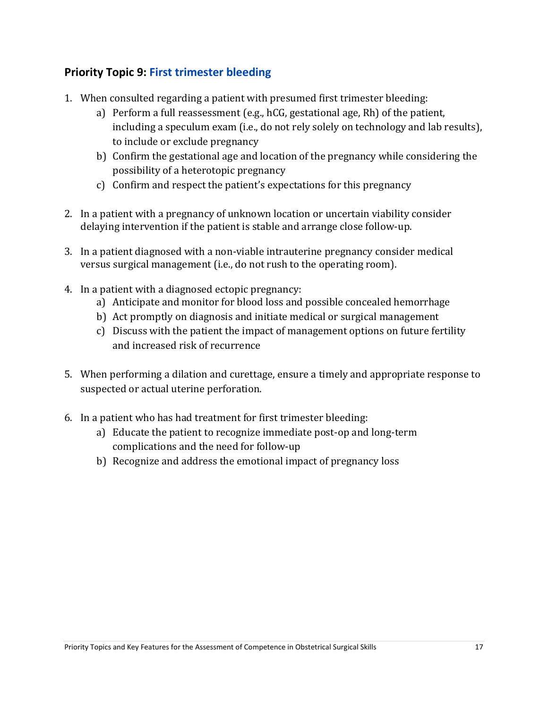## <span id="page-18-0"></span>**Priority Topic 9: First trimester bleeding**

- 1. When consulted regarding a patient with presumed first trimester bleeding:
	- a) Perform a full reassessment (e.g., hCG, gestational age, Rh) of the patient, including a speculum exam (i.e., do not rely solely on technology and lab results), to include or exclude pregnancy
	- b) Confirm the gestational age and location of the pregnancy while considering the possibility of a heterotopic pregnancy
	- c) Confirm and respect the patient's expectations for this pregnancy
- 2. In a patient with a pregnancy of unknown location or uncertain viability consider delaying intervention if the patient is stable and arrange close follow-up.
- 3. In a patient diagnosed with a non-viable intrauterine pregnancy consider medical versus surgical management (i.e., do not rush to the operating room).
- 4. In a patient with a diagnosed ectopic pregnancy:
	- a) Anticipate and monitor for blood loss and possible concealed hemorrhage
	- b) Act promptly on diagnosis and initiate medical or surgical management
	- c) Discuss with the patient the impact of management options on future fertility and increased risk of recurrence
- 5. When performing a dilation and curettage, ensure a timely and appropriate response to suspected or actual uterine perforation.
- 6. In a patient who has had treatment for first trimester bleeding:
	- a) Educate the patient to recognize immediate post-op and long-term complications and the need for follow-up
	- b) Recognize and address the emotional impact of pregnancy loss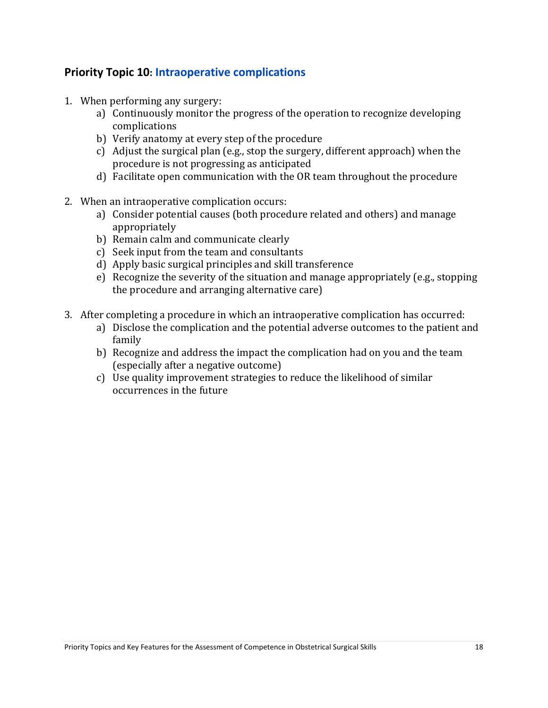#### <span id="page-19-0"></span>**Priority Topic 10: Intraoperative complications**

- 1. When performing any surgery:
	- a) Continuously monitor the progress of the operation to recognize developing complications
	- b) Verify anatomy at every step of the procedure
	- c) Adjust the surgical plan (e.g., stop the surgery, different approach) when the procedure is not progressing as anticipated
	- d) Facilitate open communication with the OR team throughout the procedure
- 2. When an intraoperative complication occurs:
	- a) Consider potential causes (both procedure related and others) and manage appropriately
	- b) Remain calm and communicate clearly
	- c) Seek input from the team and consultants
	- d) Apply basic surgical principles and skill transference
	- e) Recognize the severity of the situation and manage appropriately (e.g., stopping the procedure and arranging alternative care)
- 3. After completing a procedure in which an intraoperative complication has occurred:
	- a) Disclose the complication and the potential adverse outcomes to the patient and family
	- b) Recognize and address the impact the complication had on you and the team (especially after a negative outcome)
	- c) Use quality improvement strategies to reduce the likelihood of similar occurrences in the future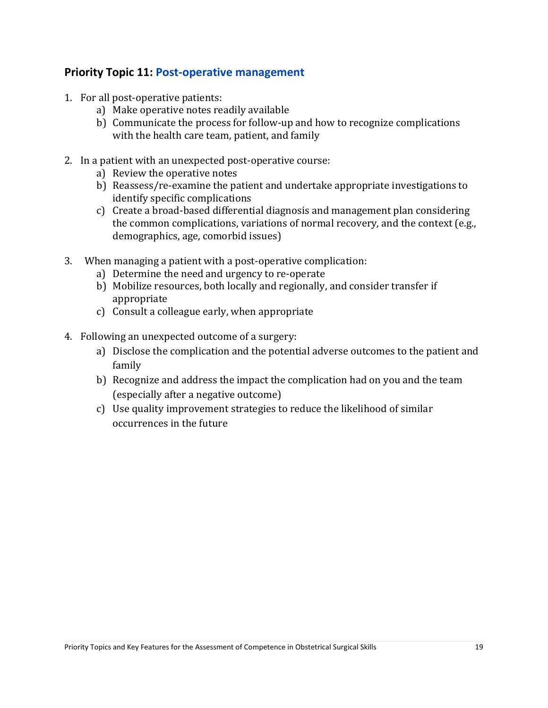#### <span id="page-20-0"></span>**Priority Topic 11: Post-operative management**

- 1. For all post-operative patients:
	- a) Make operative notes readily available
	- b) Communicate the process for follow-up and how to recognize complications with the health care team, patient, and family
- 2. In a patient with an unexpected post-operative course:
	- a) Review the operative notes
	- b) Reassess/re-examine the patient and undertake appropriate investigations to identify specific complications
	- c) Create a broad-based differential diagnosis and management plan considering the common complications, variations of normal recovery, and the context (e.g., demographics, age, comorbid issues)
- 3. When managing a patient with a post-operative complication:
	- a) Determine the need and urgency to re-operate
	- b) Mobilize resources, both locally and regionally, and consider transfer if appropriate
	- c) Consult a colleague early, when appropriate
- 4. Following an unexpected outcome of a surgery:
	- a) Disclose the complication and the potential adverse outcomes to the patient and family
	- b) Recognize and address the impact the complication had on you and the team (especially after a negative outcome)
	- c) Use quality improvement strategies to reduce the likelihood of similar occurrences in the future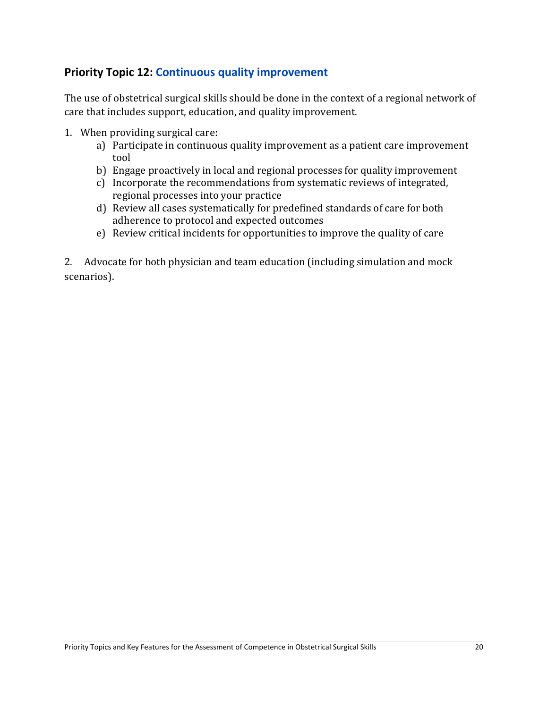### <span id="page-21-0"></span>**Priority Topic 12: Continuous quality improvement**

The use of obstetrical surgical skills should be done in the context of a regional network of care that includes support, education, and quality improvement.

- 1. When providing surgical care:
	- a) Participate in continuous quality improvement as a patient care improvement tool
	- b) Engage proactively in local and regional processes for quality improvement
	- c) Incorporate the recommendations from systematic reviews of integrated, regional processes into your practice
	- d) Review all cases systematically for predefined standards of care for both adherence to protocol and expected outcomes
	- e) Review critical incidents for opportunities to improve the quality of care

2. Advocate for both physician and team education (including simulation and mock scenarios).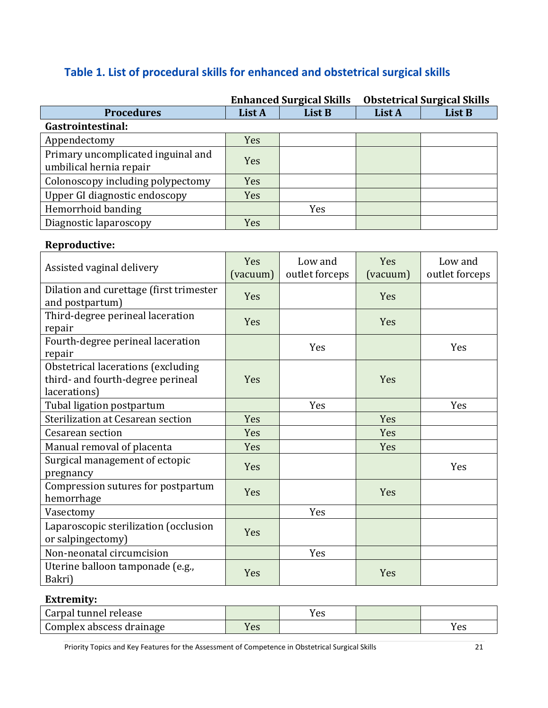# **Table 1. List of procedural skills for enhanced and obstetrical surgical skills**

|                                                               | <b>Enhanced Surgical Skills</b> |        | <b>Obstetrical Surgical Skills</b> |        |
|---------------------------------------------------------------|---------------------------------|--------|------------------------------------|--------|
| <b>Procedures</b>                                             | List A                          | List B | List A                             | List B |
| Gastrointestinal:                                             |                                 |        |                                    |        |
| Appendectomy                                                  | Yes                             |        |                                    |        |
| Primary uncomplicated inguinal and<br>umbilical hernia repair | Yes                             |        |                                    |        |
| Colonoscopy including polypectomy                             | <b>Yes</b>                      |        |                                    |        |
| Upper GI diagnostic endoscopy                                 | Yes                             |        |                                    |        |
| Hemorrhoid banding                                            |                                 | Yes    |                                    |        |
| Diagnostic laparoscopy                                        | Yes                             |        |                                    |        |

#### **Reproductive:**

| Assisted vaginal delivery                                                               | Yes<br>(vacuum) | Low and<br>outlet forceps | <b>Yes</b><br>(vacuum) | Low and<br>outlet forceps |
|-----------------------------------------------------------------------------------------|-----------------|---------------------------|------------------------|---------------------------|
| Dilation and curettage (first trimester<br>and postpartum)                              | Yes             |                           | <b>Yes</b>             |                           |
| Third-degree perineal laceration<br>repair                                              | Yes             |                           | Yes                    |                           |
| Fourth-degree perineal laceration<br>repair                                             |                 | Yes                       |                        | Yes                       |
| Obstetrical lacerations (excluding<br>third- and fourth-degree perineal<br>lacerations) | <b>Yes</b>      |                           | Yes                    |                           |
| Tubal ligation postpartum                                                               |                 | <b>Yes</b>                |                        | Yes                       |
| Sterilization at Cesarean section                                                       | Yes             |                           | Yes                    |                           |
| Cesarean section                                                                        | Yes             |                           | Yes                    |                           |
| Manual removal of placenta                                                              | Yes             |                           | Yes                    |                           |
| Surgical management of ectopic<br>pregnancy                                             | Yes             |                           |                        | Yes                       |
| Compression sutures for postpartum<br>hemorrhage                                        | Yes             |                           | Yes                    |                           |
| Vasectomy                                                                               |                 | Yes                       |                        |                           |
| Laparoscopic sterilization (occlusion<br>or salpingectomy)                              | Yes             |                           |                        |                           |
| Non-neonatal circumcision                                                               |                 | Yes                       |                        |                           |
| Uterine balloon tamponade (e.g.,<br>Bakri)                                              | Yes             |                           | Yes                    |                           |

#### **Extremity:**

| Carpal tunnel release    |      | r es |     |
|--------------------------|------|------|-----|
| Complex abscess drainage | r es |      | Yes |

Priority Topics and Key Features for the Assessment of Competence in Obstetrical Surgical Skills 21